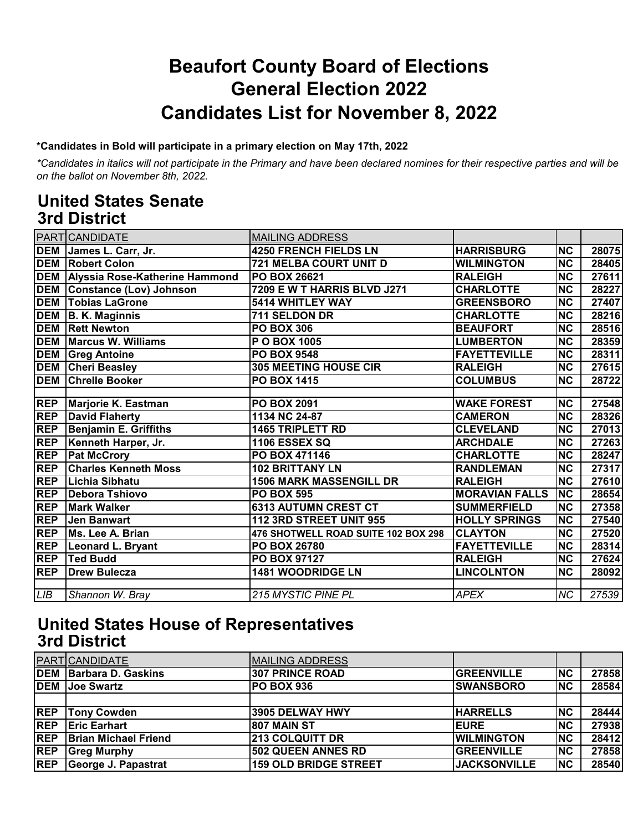## **Beaufort County Board of Elections General Election 2022 Candidates List for November 8, 2022**

#### **\*Candidates in Bold will participate in a primary election on May 17th, 2022**

*\*Candidates in italics will not participate in the Primary and have been declared nomines for their respective parties and will be on the ballot on November 8th, 2022.*

#### **United States Senate 3rd District**

|            | PART CANDIDATE                     | <b>MAILING ADDRESS</b>              |                       |                        |       |
|------------|------------------------------------|-------------------------------------|-----------------------|------------------------|-------|
|            | DEM James L. Carr, Jr.             | <b>4250 FRENCH FIELDS LN</b>        | <b>HARRISBURG</b>     | <b>NC</b>              | 28075 |
|            | <b>DEM Robert Colon</b>            | 721 MELBA COURT UNIT D              | <b>WILMINGTON</b>     | <b>NC</b>              | 28405 |
|            | DEM Alyssia Rose-Katherine Hammond | <b>PO BOX 26621</b>                 | <b>RALEIGH</b>        | <b>NC</b>              | 27611 |
|            | <b>DEM</b> Constance (Lov) Johnson | 7209 E W T HARRIS BLVD J271         | <b>CHARLOTTE</b>      | $\overline{\text{NC}}$ | 28227 |
| <b>DEM</b> | <b>Tobias LaGrone</b>              | 5414 WHITLEY WAY                    | <b>GREENSBORO</b>     | <b>NC</b>              | 27407 |
|            | DEM B. K. Maginnis                 | 711 SELDON DR                       | <b>CHARLOTTE</b>      | <b>NC</b>              | 28216 |
| <b>DEM</b> | <b>Rett Newton</b>                 | <b>PO BOX 306</b>                   | <b>BEAUFORT</b>       | $\overline{\text{NC}}$ | 28516 |
|            | <b>DEM Marcus W. Williams</b>      | P O BOX 1005                        | <b>LUMBERTON</b>      | <b>NC</b>              | 28359 |
|            | <b>DEM</b> Greg Antoine            | <b>PO BOX 9548</b>                  | <b>FAYETTEVILLE</b>   | <b>NC</b>              | 28311 |
| <b>DEM</b> | <b>Cheri Beasley</b>               | <b>305 MEETING HOUSE CIR</b>        | <b>RALEIGH</b>        | $\overline{\text{NC}}$ | 27615 |
| <b>DEM</b> | <b>Chrelle Booker</b>              | <b>PO BOX 1415</b>                  | <b>COLUMBUS</b>       | $\overline{\text{NC}}$ | 28722 |
|            |                                    |                                     |                       |                        |       |
| <b>REP</b> | Marjorie K. Eastman                | <b>PO BOX 2091</b>                  | <b>WAKE FOREST</b>    | <b>NC</b>              | 27548 |
| <b>REP</b> | <b>David Flaherty</b>              | 1134 NC 24-87                       | <b>CAMERON</b>        | <b>NC</b>              | 28326 |
| <b>REP</b> | <b>Benjamin E. Griffiths</b>       | <b>1465 TRIPLETT RD</b>             | <b>CLEVELAND</b>      | <b>NC</b>              | 27013 |
| <b>REP</b> | Kenneth Harper, Jr.                | <b>1106 ESSEX SQ</b>                | <b>ARCHDALE</b>       | <b>NC</b>              | 27263 |
| <b>REP</b> | <b>Pat McCrory</b>                 | PO BOX 471146                       | <b>CHARLOTTE</b>      | <b>NC</b>              | 28247 |
| <b>REP</b> | <b>Charles Kenneth Moss</b>        | <b>102 BRITTANY LN</b>              | <b>RANDLEMAN</b>      | <b>NC</b>              | 27317 |
| <b>REP</b> | Lichia Sibhatu                     | <b>1506 MARK MASSENGILL DR</b>      | <b>RALEIGH</b>        | <b>NC</b>              | 27610 |
| <b>REP</b> | <b>Debora Tshiovo</b>              | <b>PO BOX 595</b>                   | <b>MORAVIAN FALLS</b> | <b>NC</b>              | 28654 |
| <b>REP</b> | <b>Mark Walker</b>                 | <b>6313 AUTUMN CREST CT</b>         | <b>SUMMERFIELD</b>    | $\overline{\text{NC}}$ | 27358 |
| <b>REP</b> | Jen Banwart                        | 112 3RD STREET UNIT 955             | <b>HOLLY SPRINGS</b>  | <b>NC</b>              | 27540 |
| <b>REP</b> | Ms. Lee A. Brian                   | 476 SHOTWELL ROAD SUITE 102 BOX 298 | <b>CLAYTON</b>        | <b>NC</b>              | 27520 |
| <b>REP</b> | Leonard L. Bryant                  | <b>PO BOX 26780</b>                 | <b>FAYETTEVILLE</b>   | $\overline{\text{NC}}$ | 28314 |
| <b>REP</b> | <b>Ted Budd</b>                    | <b>PO BOX 97127</b>                 | <b>RALEIGH</b>        | $\overline{\text{NC}}$ | 27624 |
| <b>REP</b> | <b>Drew Bulecza</b>                | 1481 WOODRIDGE LN                   | <b>LINCOLNTON</b>     | <b>NC</b>              | 28092 |
|            |                                    |                                     |                       |                        |       |
| LIB        | Shannon W. Bray                    | <b>215 MYSTIC PINE PL</b>           | <b>APEX</b>           | NC                     | 27539 |

#### **United States House of Representatives 3rd District**

|            | PART CANDIDATE                | <b>IMAILING ADDRESS</b>      |                     |           |       |
|------------|-------------------------------|------------------------------|---------------------|-----------|-------|
|            | <b>DEM</b> Barbara D. Gaskins | <b>307 PRINCE ROAD</b>       | <b>GREENVILLE</b>   | <b>NC</b> | 27858 |
|            | <b>DEM</b> Joe Swartz         | <b>IPO BOX 936</b>           | <b>ISWANSBORO</b>   | <b>NC</b> | 28584 |
|            |                               |                              |                     |           |       |
| <b>REP</b> | <b>Tony Cowden</b>            | 3905 DELWAY HWY              | <b>HARRELLS</b>     | NC        | 28444 |
| <b>REP</b> | <b>Eric Earhart</b>           | <b>807 MAIN ST</b>           | <b>EURE</b>         | <b>NC</b> | 27938 |
| <b>REP</b> | <b>Brian Michael Friend</b>   | <b>213 COLQUITT DR</b>       | <b>WILMINGTON</b>   | <b>NC</b> | 28412 |
| <b>REP</b> | <b>Greg Murphy</b>            | <b>502 QUEEN ANNES RD</b>    | <b>GREENVILLE</b>   | <b>NC</b> | 27858 |
| <b>REP</b> | George J. Papastrat           | <b>159 OLD BRIDGE STREET</b> | <b>JACKSONVILLE</b> | <b>NC</b> | 28540 |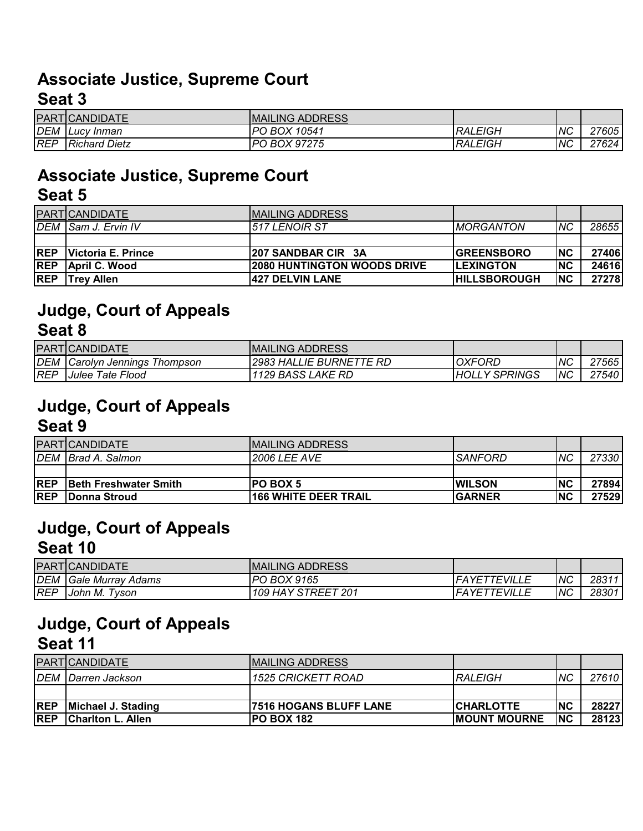#### **Associate Justice, Supreme Court Seat 3**

|            | PART CANDIDATE       | <b>MAILING ADDRESS</b> |                |    |       |
|------------|----------------------|------------------------|----------------|----|-------|
| <b>DEM</b> | <b>ILucy Inman</b>   | PO BOX 10541           | <b>RALEIGH</b> | NС | 27605 |
| <b>REP</b> | <b>Richard Dietz</b> | PO BOX 97275           | <b>RALEIGH</b> | NС | 27624 |

# **Associate Justice, Supreme Court**

|            | <b>PART CANDIDATE</b>      | <b>MAILING ADDRESS</b>             |                          |            |       |
|------------|----------------------------|------------------------------------|--------------------------|------------|-------|
|            | DEM Sam J. Ervin IV        | 1517 LENOIR ST                     | <i><b>IMORGANTON</b></i> | <b>NC</b>  | 28655 |
|            |                            |                                    |                          |            |       |
| <b>REP</b> | <b>IVictoria E. Prince</b> | 1207 SANDBAR CIR 3A                | <b>IGREENSBORO</b>       | INC        | 27406 |
| <b>REP</b> | April C. Wood              | <b>2080 HUNTINGTON WOODS DRIVE</b> | <b>ILEXINGTON</b>        | <b>INC</b> | 24616 |
| <b>REP</b> | <b>ITrev Allen</b>         | <b>427 DELVIN LANE</b>             | <b>IHILLSBOROUGH</b>     | INC.       | 27278 |

#### **Judge, Court of Appeals Seat 8**

|            | <b>PART</b> CANDIDATE     | IMAILING ADDRESS               |               |           |       |
|------------|---------------------------|--------------------------------|---------------|-----------|-------|
| <b>DEM</b> | Carolyn Jennings Thompson | <b>2983 HALLIE BURNETTE RD</b> | <b>OXFORD</b> | ΝC        | 27565 |
| REP        | Julee Tate Flood          | 1129 BASS LAKE RD              | HOLLY SPRINGS | <b>NC</b> | 27540 |

#### **Judge, Court of Appeals Seat 9**

|            | <b>PART CANDIDATE</b>         | IMAILING ADDRESS            |                |           |       |
|------------|-------------------------------|-----------------------------|----------------|-----------|-------|
|            | DEM Brad A. Salmon            | <b>2006 LEE AVE</b>         | <b>SANFORD</b> | <b>NC</b> | 27330 |
|            |                               |                             |                |           |       |
| <b>REP</b> | <b>IBeth Freshwater Smith</b> | <b>PO BOX 5</b>             | <b>IWILSON</b> | <b>NC</b> | 27894 |
| <b>REP</b> | <b>IDonna Stroud</b>          | <b>166 WHITE DEER TRAIL</b> | <b>GARNER</b>  | <b>NC</b> | 27529 |

#### **Judge, Court of Appeals Seat 10**

|            | <b>PART CANDIDATE</b>               | <b>MAILING ADDRESS</b> |                     |           |       |
|------------|-------------------------------------|------------------------|---------------------|-----------|-------|
| <b>DEM</b> | <b>IGale Murray Adams</b>           | <b>PO BOX 9165</b>     | <b>FAYETTEVILLL</b> | NС        | 28311 |
| <b>REP</b> | $\tau_{\mathcal{V}}$ son<br>John M. | 109 HAY STREET 201     | <b>FAYETTEVILLL</b> | <b>NC</b> | 28301 |

### **Judge, Court of Appeals Seat 11**

|            | <b>PART</b> CANDIDATE     | <b>IMAILING ADDRESS</b>       |                      |            |       |
|------------|---------------------------|-------------------------------|----------------------|------------|-------|
|            | DEM Darren Jackson        | <i>1525 CRICKETT ROAD</i>     | IRALEIGH             | <b>INC</b> | 27610 |
|            |                           |                               |                      |            |       |
| <b>REP</b> | Michael J. Stading        | <b>7516 HOGANS BLUFF LANE</b> | <b>CHARLOTTE</b>     | INC        | 28227 |
| <b>REP</b> | <b>IChariton L. Allen</b> | <b>PO BOX 182</b>             | <b>IMOUNT MOURNE</b> | <b>INC</b> | 28123 |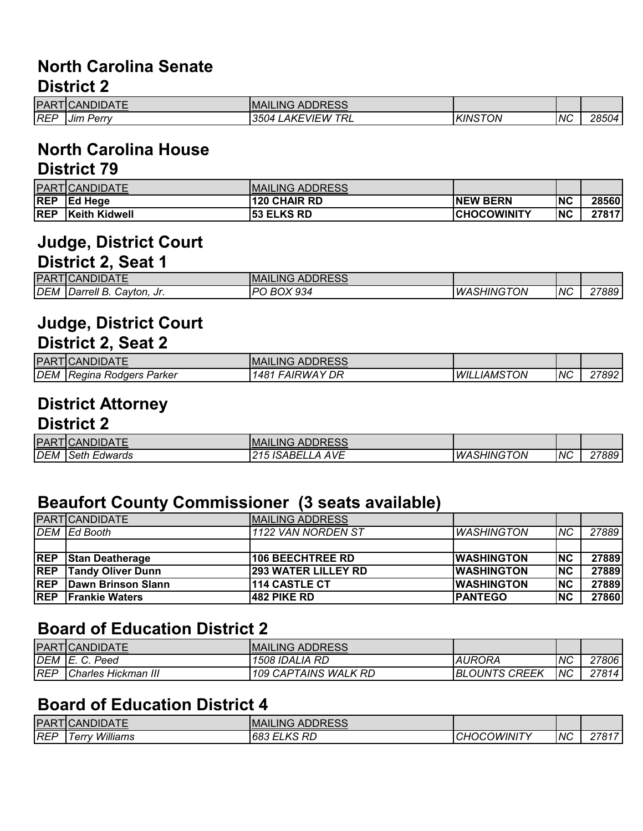#### **North Carolina Senate District 2**

| <b>PAR</b> | :T <b>I</b> CANDIDATE        | <b>MAILING ADDRESS</b>                 |                |    |       |
|------------|------------------------------|----------------------------------------|----------------|----|-------|
| <b>REF</b> | . .<br>Perry<br><b>Jim P</b> | ' TRL<br>∟AKEVIEW <sup>∽</sup><br>3504 | <b>KINSTON</b> | ΝC | 28504 |

#### **North Carolina House District 79**

|            | PART CANDIDATE       | <b>MAILING ADDRESS</b> |                    |           |       |
|------------|----------------------|------------------------|--------------------|-----------|-------|
| <b>REP</b> | <b>IEd Heae</b>      | <b>120 CHAIR RD</b>    | <b>INEW BERN</b>   | <b>NC</b> | 28560 |
| <b>REP</b> | <b>Keith Kidwell</b> | <b>53 ELKS RD</b>      | <b>CHOCOWINITY</b> | <b>NC</b> | 27817 |

## **Judge, District Court**

#### **District 2, Seat 1**

| <b>PAR</b> | <b>ICANDIDATE</b>                                        | <b>MAILING ADDRESS</b> |                         |            |       |
|------------|----------------------------------------------------------|------------------------|-------------------------|------------|-------|
| <b>DEM</b> | Cayton.<br><i><b>IDarrell</b></i><br><br>JI.<br><u>.</u> | BOX 934<br>מם          | <b>ASHINGTON</b><br>WA. | <b>INC</b> | 27889 |

#### **Judge, District Court District 2, Seat 2**

| <b>IPAR</b> | TICANDIDATE           | <b>MAILING ADDRESS</b>    |                           |     |       |
|-------------|-----------------------|---------------------------|---------------------------|-----|-------|
| <b>DEM</b>  | Regina Rodgers Parker | <b>FAIRWAY DR</b><br>148' | <i><b>WILLIAMSTON</b></i> | ΙNΟ | 27892 |

## **District Attorney**

#### **District 2**

| <b>PAR</b> | TICANDIDATE         | <b>MAILING ADDRESS</b>                   |                          |    |       |
|------------|---------------------|------------------------------------------|--------------------------|----|-------|
| <b>DEM</b> | <b>Seth Edwards</b> | . ISABELLA *<br><b>AVE</b><br>◠◢▱<br>, J | <i><b>WASHINGTON</b></i> | NC | 27889 |

#### **Beaufort County Commissioner (3 seats available)**

|            | <b>PART</b> CANDIDATE         | <b>MAILING ADDRESS</b>     |                    |           |       |
|------------|-------------------------------|----------------------------|--------------------|-----------|-------|
|            | DEM Ed Booth                  | 1122 VAN NORDEN ST         | <b>WASHINGTON</b>  | <b>NC</b> | 27889 |
|            |                               |                            |                    |           |       |
| <b>REP</b> | <b>Stan Deatherage</b>        | <b>106 BEECHTREE RD</b>    | <b>IWASHINGTON</b> | <b>NC</b> | 27889 |
| <b>REP</b> | <b>Tandy Oliver Dunn</b>      | <b>293 WATER LILLEY RD</b> | <b>IWASHINGTON</b> | INC.      | 27889 |
|            | <b>REP</b> Dawn Brinson Slann | <b>114 CASTLE CT</b>       | <b>IWASHINGTON</b> | <b>NC</b> | 27889 |
|            | <b>REP</b> Frankie Waters     | <b>482 PIKE RD</b>         | <b>PANTEGO</b>     | <b>NC</b> | 27860 |

#### **Board of Education District 2**

|            | <b>PART</b> CANDIDATE | <b>MAILING ADDRESS</b> |                      |            |       |
|------------|-----------------------|------------------------|----------------------|------------|-------|
| DEM        | IE. C. Peed           | 1508 IDALIA RD         | IAURORA              | <b>NC</b>  | 27806 |
| <b>REP</b> | Charles Hickman III   | 109 CAPTAINS WALK RD   | <b>BLOUNTS CREEK</b> | <b>INC</b> | 27814 |

#### **Board of Education District 4**

|            | <b>PART CANDIDATE</b> | <b>MAILING ADDRESS</b> |                    |    |       |
|------------|-----------------------|------------------------|--------------------|----|-------|
| <b>REP</b> | Williams<br>Ferrv     | <b>683 ELKS RD</b>     | <b>CHOCOWINITY</b> | NC | 27817 |